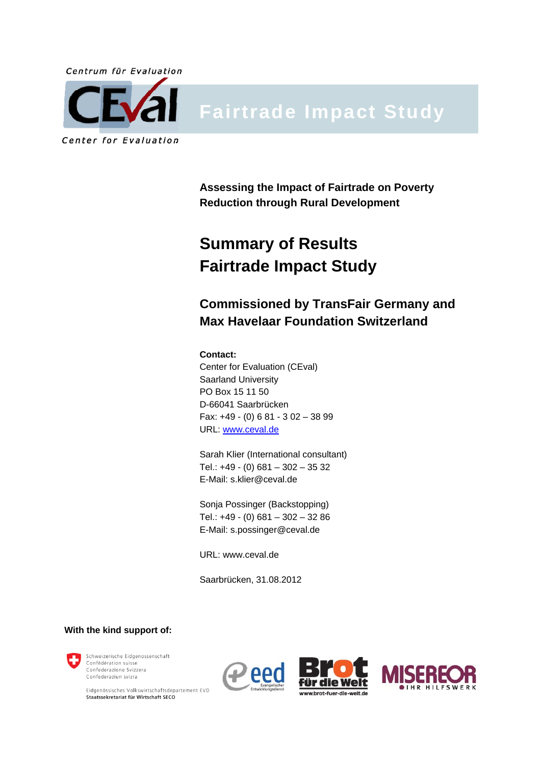

# **Fairtrade Impact Study**

**Assessing the Impact of Fairtrade on Poverty Reduction through Rural Development** 

## **Summary of Results Fairtrade Impact Study**

**Commissioned by TransFair Germany and Max Havelaar Foundation Switzerland** 

#### **Contact:** Center for Evaluation (CEval) Saarland University PO Box 15 11 50 D-66041 Saarbrücken Fax: +49 - (0) 6 81 - 3 02 – 38 99 URL: www.ceval.de

Sarah Klier (International consultant) Tel.: +49 - (0) 681 – 302 – 35 32 E-Mail: s.klier@ceval.de

Sonja Possinger (Backstopping) Tel.: +49 - (0) 681 – 302 – 32 86 E-Mail: s.possinger@ceval.de

URL: www.ceval.de

Saarbrücken, 31.08.2012

**With the kind support of:**



Eidgenössisches Volkswirtschaftsdepartement EVD Staatssekretariat für Wirtschaft SECO



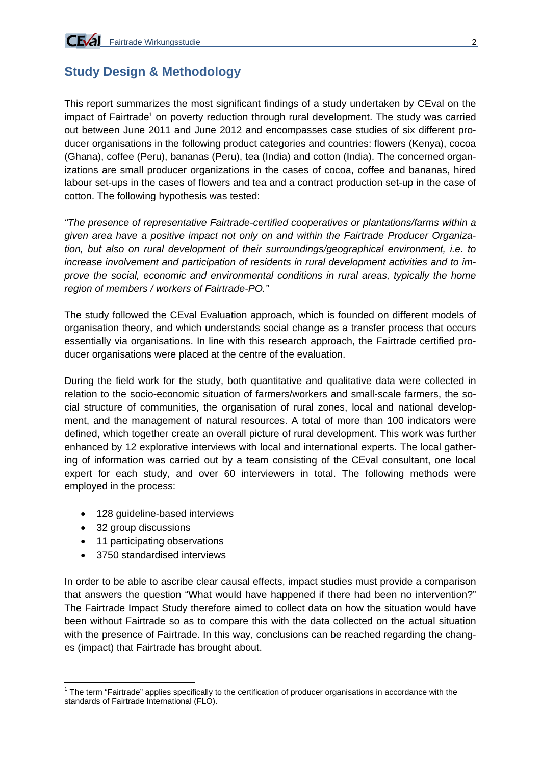## **Study Design & Methodology**

This report summarizes the most significant findings of a study undertaken by CEval on the impact of Fairtrade<sup>1</sup> on poverty reduction through rural development. The study was carried out between June 2011 and June 2012 and encompasses case studies of six different producer organisations in the following product categories and countries: flowers (Kenya), cocoa (Ghana), coffee (Peru), bananas (Peru), tea (India) and cotton (India). The concerned organizations are small producer organizations in the cases of cocoa, coffee and bananas, hired labour set-ups in the cases of flowers and tea and a contract production set-up in the case of cotton. The following hypothesis was tested:

*"The presence of representative Fairtrade-certified cooperatives or plantations/farms within a given area have a positive impact not only on and within the Fairtrade Producer Organization, but also on rural development of their surroundings/geographical environment, i.e. to increase involvement and participation of residents in rural development activities and to improve the social, economic and environmental conditions in rural areas, typically the home region of members / workers of Fairtrade-PO."* 

The study followed the CEval Evaluation approach, which is founded on different models of organisation theory, and which understands social change as a transfer process that occurs essentially via organisations. In line with this research approach, the Fairtrade certified producer organisations were placed at the centre of the evaluation.

During the field work for the study, both quantitative and qualitative data were collected in relation to the socio-economic situation of farmers/workers and small-scale farmers, the social structure of communities, the organisation of rural zones, local and national development, and the management of natural resources. A total of more than 100 indicators were defined, which together create an overall picture of rural development. This work was further enhanced by 12 explorative interviews with local and international experts. The local gathering of information was carried out by a team consisting of the CEval consultant, one local expert for each study, and over 60 interviewers in total. The following methods were employed in the process:

- 128 guideline-based interviews
- 32 group discussions

1

- 11 participating observations
- 3750 standardised interviews

In order to be able to ascribe clear causal effects, impact studies must provide a comparison that answers the question "What would have happened if there had been no intervention?" The Fairtrade Impact Study therefore aimed to collect data on how the situation would have been without Fairtrade so as to compare this with the data collected on the actual situation with the presence of Fairtrade. In this way, conclusions can be reached regarding the changes (impact) that Fairtrade has brought about.

 $1$  The term "Fairtrade" applies specifically to the certification of producer organisations in accordance with the standards of Fairtrade International (FLO).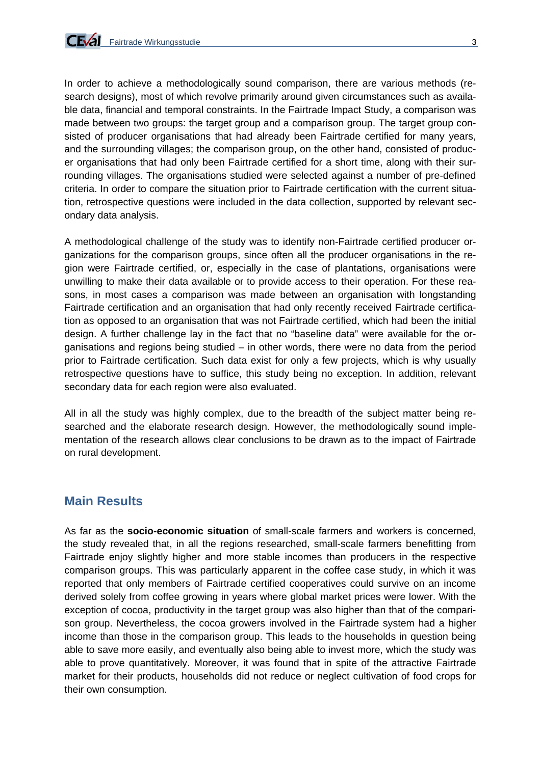

In order to achieve a methodologically sound comparison, there are various methods (research designs), most of which revolve primarily around given circumstances such as available data, financial and temporal constraints. In the Fairtrade Impact Study, a comparison was made between two groups: the target group and a comparison group. The target group consisted of producer organisations that had already been Fairtrade certified for many years, and the surrounding villages; the comparison group, on the other hand, consisted of producer organisations that had only been Fairtrade certified for a short time, along with their surrounding villages. The organisations studied were selected against a number of pre-defined criteria. In order to compare the situation prior to Fairtrade certification with the current situation, retrospective questions were included in the data collection, supported by relevant secondary data analysis.

A methodological challenge of the study was to identify non-Fairtrade certified producer organizations for the comparison groups, since often all the producer organisations in the region were Fairtrade certified, or, especially in the case of plantations, organisations were unwilling to make their data available or to provide access to their operation. For these reasons, in most cases a comparison was made between an organisation with longstanding Fairtrade certification and an organisation that had only recently received Fairtrade certification as opposed to an organisation that was not Fairtrade certified, which had been the initial design. A further challenge lay in the fact that no "baseline data" were available for the organisations and regions being studied – in other words, there were no data from the period prior to Fairtrade certification. Such data exist for only a few projects, which is why usually retrospective questions have to suffice, this study being no exception. In addition, relevant secondary data for each region were also evaluated.

All in all the study was highly complex, due to the breadth of the subject matter being researched and the elaborate research design. However, the methodologically sound implementation of the research allows clear conclusions to be drawn as to the impact of Fairtrade on rural development.

#### **Main Results**

As far as the **socio-economic situation** of small-scale farmers and workers is concerned, the study revealed that, in all the regions researched, small-scale farmers benefitting from Fairtrade enjoy slightly higher and more stable incomes than producers in the respective comparison groups. This was particularly apparent in the coffee case study, in which it was reported that only members of Fairtrade certified cooperatives could survive on an income derived solely from coffee growing in years where global market prices were lower. With the exception of cocoa, productivity in the target group was also higher than that of the comparison group. Nevertheless, the cocoa growers involved in the Fairtrade system had a higher income than those in the comparison group. This leads to the households in question being able to save more easily, and eventually also being able to invest more, which the study was able to prove quantitatively. Moreover, it was found that in spite of the attractive Fairtrade market for their products, households did not reduce or neglect cultivation of food crops for their own consumption.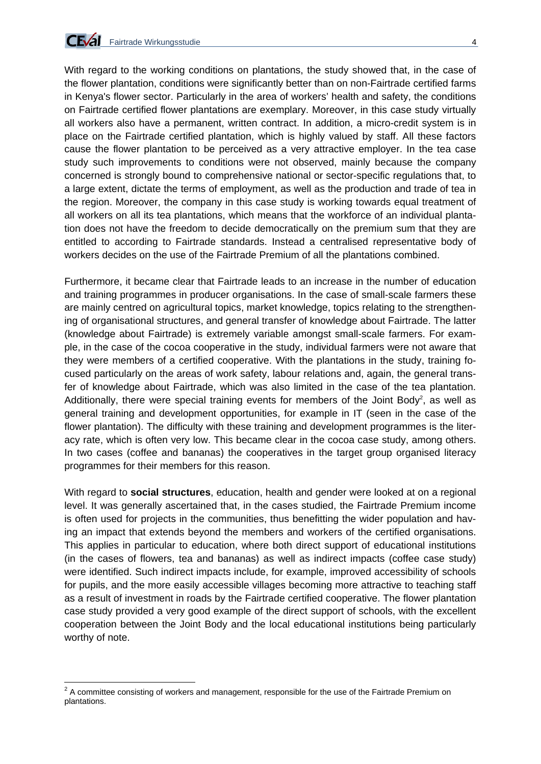

With regard to the working conditions on plantations, the study showed that, in the case of the flower plantation, conditions were significantly better than on non-Fairtrade certified farms in Kenya's flower sector. Particularly in the area of workers' health and safety, the conditions on Fairtrade certified flower plantations are exemplary. Moreover, in this case study virtually all workers also have a permanent, written contract. In addition, a micro-credit system is in place on the Fairtrade certified plantation, which is highly valued by staff. All these factors cause the flower plantation to be perceived as a very attractive employer. In the tea case study such improvements to conditions were not observed, mainly because the company concerned is strongly bound to comprehensive national or sector-specific regulations that, to a large extent, dictate the terms of employment, as well as the production and trade of tea in the region. Moreover, the company in this case study is working towards equal treatment of all workers on all its tea plantations, which means that the workforce of an individual plantation does not have the freedom to decide democratically on the premium sum that they are entitled to according to Fairtrade standards. Instead a centralised representative body of workers decides on the use of the Fairtrade Premium of all the plantations combined.

Furthermore, it became clear that Fairtrade leads to an increase in the number of education and training programmes in producer organisations. In the case of small-scale farmers these are mainly centred on agricultural topics, market knowledge, topics relating to the strengthening of organisational structures, and general transfer of knowledge about Fairtrade. The latter (knowledge about Fairtrade) is extremely variable amongst small-scale farmers. For example, in the case of the cocoa cooperative in the study, individual farmers were not aware that they were members of a certified cooperative. With the plantations in the study, training focused particularly on the areas of work safety, labour relations and, again, the general transfer of knowledge about Fairtrade, which was also limited in the case of the tea plantation. Additionally, there were special training events for members of the Joint Body<sup>2</sup>, as well as general training and development opportunities, for example in IT (seen in the case of the flower plantation). The difficulty with these training and development programmes is the literacy rate, which is often very low. This became clear in the cocoa case study, among others. In two cases (coffee and bananas) the cooperatives in the target group organised literacy programmes for their members for this reason.

With regard to **social structures**, education, health and gender were looked at on a regional level. It was generally ascertained that, in the cases studied, the Fairtrade Premium income is often used for projects in the communities, thus benefitting the wider population and having an impact that extends beyond the members and workers of the certified organisations. This applies in particular to education, where both direct support of educational institutions (in the cases of flowers, tea and bananas) as well as indirect impacts (coffee case study) were identified. Such indirect impacts include, for example, improved accessibility of schools for pupils, and the more easily accessible villages becoming more attractive to teaching staff as a result of investment in roads by the Fairtrade certified cooperative. The flower plantation case study provided a very good example of the direct support of schools, with the excellent cooperation between the Joint Body and the local educational institutions being particularly worthy of note.

 2 A committee consisting of workers and management, responsible for the use of the Fairtrade Premium on plantations.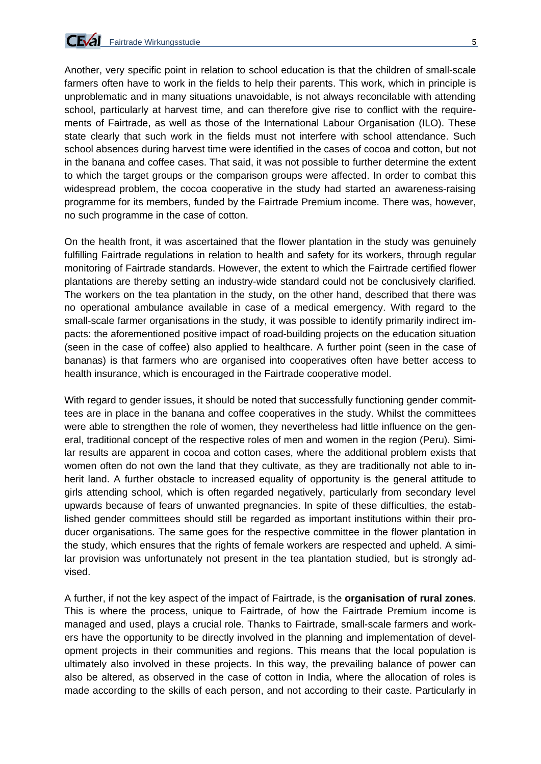

Another, very specific point in relation to school education is that the children of small-scale farmers often have to work in the fields to help their parents. This work, which in principle is unproblematic and in many situations unavoidable, is not always reconcilable with attending school, particularly at harvest time, and can therefore give rise to conflict with the requirements of Fairtrade, as well as those of the International Labour Organisation (ILO). These state clearly that such work in the fields must not interfere with school attendance. Such school absences during harvest time were identified in the cases of cocoa and cotton, but not in the banana and coffee cases. That said, it was not possible to further determine the extent to which the target groups or the comparison groups were affected. In order to combat this widespread problem, the cocoa cooperative in the study had started an awareness-raising programme for its members, funded by the Fairtrade Premium income. There was, however, no such programme in the case of cotton.

On the health front, it was ascertained that the flower plantation in the study was genuinely fulfilling Fairtrade regulations in relation to health and safety for its workers, through regular monitoring of Fairtrade standards. However, the extent to which the Fairtrade certified flower plantations are thereby setting an industry-wide standard could not be conclusively clarified. The workers on the tea plantation in the study, on the other hand, described that there was no operational ambulance available in case of a medical emergency. With regard to the small-scale farmer organisations in the study, it was possible to identify primarily indirect impacts: the aforementioned positive impact of road-building projects on the education situation (seen in the case of coffee) also applied to healthcare. A further point (seen in the case of bananas) is that farmers who are organised into cooperatives often have better access to health insurance, which is encouraged in the Fairtrade cooperative model.

With regard to gender issues, it should be noted that successfully functioning gender committees are in place in the banana and coffee cooperatives in the study. Whilst the committees were able to strengthen the role of women, they nevertheless had little influence on the general, traditional concept of the respective roles of men and women in the region (Peru). Similar results are apparent in cocoa and cotton cases, where the additional problem exists that women often do not own the land that they cultivate, as they are traditionally not able to inherit land. A further obstacle to increased equality of opportunity is the general attitude to girls attending school, which is often regarded negatively, particularly from secondary level upwards because of fears of unwanted pregnancies. In spite of these difficulties, the established gender committees should still be regarded as important institutions within their producer organisations. The same goes for the respective committee in the flower plantation in the study, which ensures that the rights of female workers are respected and upheld. A similar provision was unfortunately not present in the tea plantation studied, but is strongly advised.

A further, if not the key aspect of the impact of Fairtrade, is the **organisation of rural zones**. This is where the process, unique to Fairtrade, of how the Fairtrade Premium income is managed and used, plays a crucial role. Thanks to Fairtrade, small-scale farmers and workers have the opportunity to be directly involved in the planning and implementation of development projects in their communities and regions. This means that the local population is ultimately also involved in these projects. In this way, the prevailing balance of power can also be altered, as observed in the case of cotton in India, where the allocation of roles is made according to the skills of each person, and not according to their caste. Particularly in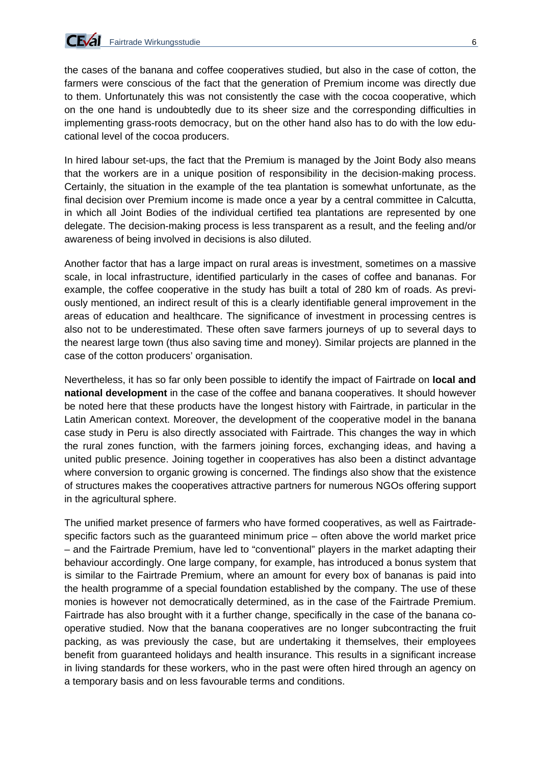

the cases of the banana and coffee cooperatives studied, but also in the case of cotton, the farmers were conscious of the fact that the generation of Premium income was directly due to them. Unfortunately this was not consistently the case with the cocoa cooperative, which on the one hand is undoubtedly due to its sheer size and the corresponding difficulties in implementing grass-roots democracy, but on the other hand also has to do with the low educational level of the cocoa producers.

In hired labour set-ups, the fact that the Premium is managed by the Joint Body also means that the workers are in a unique position of responsibility in the decision-making process. Certainly, the situation in the example of the tea plantation is somewhat unfortunate, as the final decision over Premium income is made once a year by a central committee in Calcutta, in which all Joint Bodies of the individual certified tea plantations are represented by one delegate. The decision-making process is less transparent as a result, and the feeling and/or awareness of being involved in decisions is also diluted.

Another factor that has a large impact on rural areas is investment, sometimes on a massive scale, in local infrastructure, identified particularly in the cases of coffee and bananas. For example, the coffee cooperative in the study has built a total of 280 km of roads. As previously mentioned, an indirect result of this is a clearly identifiable general improvement in the areas of education and healthcare. The significance of investment in processing centres is also not to be underestimated. These often save farmers journeys of up to several days to the nearest large town (thus also saving time and money). Similar projects are planned in the case of the cotton producers' organisation.

Nevertheless, it has so far only been possible to identify the impact of Fairtrade on **local and national development** in the case of the coffee and banana cooperatives. It should however be noted here that these products have the longest history with Fairtrade, in particular in the Latin American context. Moreover, the development of the cooperative model in the banana case study in Peru is also directly associated with Fairtrade. This changes the way in which the rural zones function, with the farmers joining forces, exchanging ideas, and having a united public presence. Joining together in cooperatives has also been a distinct advantage where conversion to organic growing is concerned. The findings also show that the existence of structures makes the cooperatives attractive partners for numerous NGOs offering support in the agricultural sphere.

The unified market presence of farmers who have formed cooperatives, as well as Fairtradespecific factors such as the guaranteed minimum price – often above the world market price – and the Fairtrade Premium, have led to "conventional" players in the market adapting their behaviour accordingly. One large company, for example, has introduced a bonus system that is similar to the Fairtrade Premium, where an amount for every box of bananas is paid into the health programme of a special foundation established by the company. The use of these monies is however not democratically determined, as in the case of the Fairtrade Premium. Fairtrade has also brought with it a further change, specifically in the case of the banana cooperative studied. Now that the banana cooperatives are no longer subcontracting the fruit packing, as was previously the case, but are undertaking it themselves, their employees benefit from guaranteed holidays and health insurance. This results in a significant increase in living standards for these workers, who in the past were often hired through an agency on a temporary basis and on less favourable terms and conditions.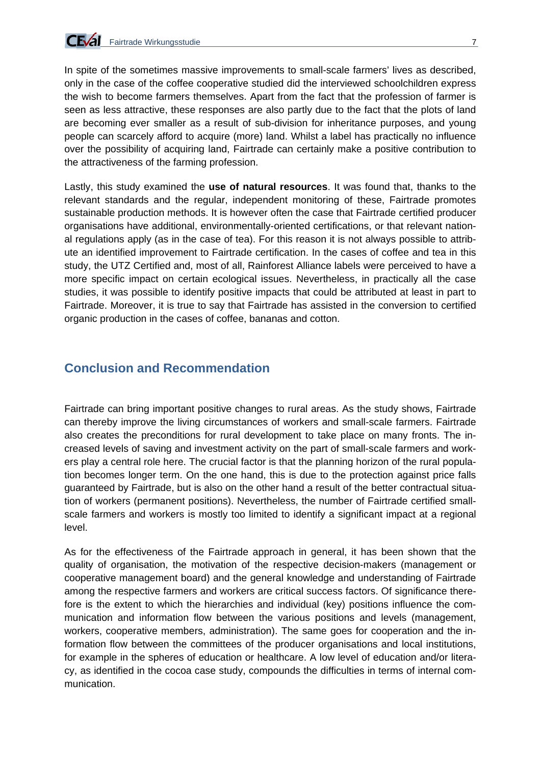In spite of the sometimes massive improvements to small-scale farmers' lives as described, only in the case of the coffee cooperative studied did the interviewed schoolchildren express the wish to become farmers themselves. Apart from the fact that the profession of farmer is seen as less attractive, these responses are also partly due to the fact that the plots of land are becoming ever smaller as a result of sub-division for inheritance purposes, and young people can scarcely afford to acquire (more) land. Whilst a label has practically no influence over the possibility of acquiring land, Fairtrade can certainly make a positive contribution to the attractiveness of the farming profession.

Lastly, this study examined the **use of natural resources**. It was found that, thanks to the relevant standards and the regular, independent monitoring of these, Fairtrade promotes sustainable production methods. It is however often the case that Fairtrade certified producer organisations have additional, environmentally-oriented certifications, or that relevant national regulations apply (as in the case of tea). For this reason it is not always possible to attribute an identified improvement to Fairtrade certification. In the cases of coffee and tea in this study, the UTZ Certified and, most of all, Rainforest Alliance labels were perceived to have a more specific impact on certain ecological issues. Nevertheless, in practically all the case studies, it was possible to identify positive impacts that could be attributed at least in part to Fairtrade. Moreover, it is true to say that Fairtrade has assisted in the conversion to certified organic production in the cases of coffee, bananas and cotton.

### **Conclusion and Recommendation**

Fairtrade can bring important positive changes to rural areas. As the study shows, Fairtrade can thereby improve the living circumstances of workers and small-scale farmers. Fairtrade also creates the preconditions for rural development to take place on many fronts. The increased levels of saving and investment activity on the part of small-scale farmers and workers play a central role here. The crucial factor is that the planning horizon of the rural population becomes longer term. On the one hand, this is due to the protection against price falls guaranteed by Fairtrade, but is also on the other hand a result of the better contractual situation of workers (permanent positions). Nevertheless, the number of Fairtrade certified smallscale farmers and workers is mostly too limited to identify a significant impact at a regional level.

As for the effectiveness of the Fairtrade approach in general, it has been shown that the quality of organisation, the motivation of the respective decision-makers (management or cooperative management board) and the general knowledge and understanding of Fairtrade among the respective farmers and workers are critical success factors. Of significance therefore is the extent to which the hierarchies and individual (key) positions influence the communication and information flow between the various positions and levels (management, workers, cooperative members, administration). The same goes for cooperation and the information flow between the committees of the producer organisations and local institutions, for example in the spheres of education or healthcare. A low level of education and/or literacy, as identified in the cocoa case study, compounds the difficulties in terms of internal communication.